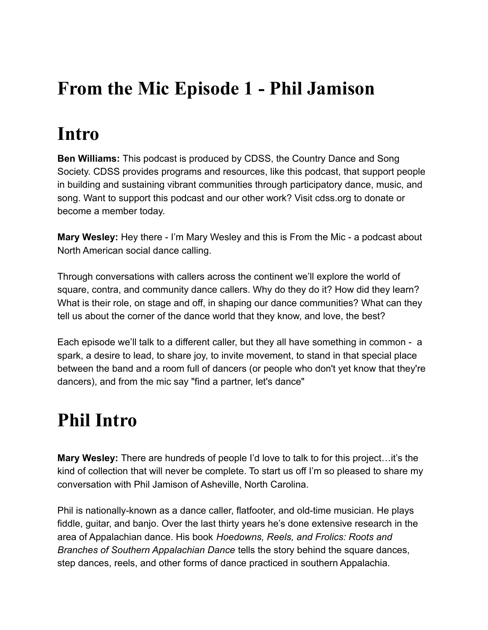## **From the Mic Episode 1 - Phil Jamison**

# **Intro**

**Ben Williams:** This podcast is produced by CDSS, the Country Dance and Song Society. CDSS provides programs and resources, like this podcast, that support people in building and sustaining vibrant communities through participatory dance, music, and song. Want to support this podcast and our other work? Visit cdss.org to donate or become a member today.

**Mary Wesley:** Hey there - I'm Mary Wesley and this is From the Mic - a podcast about North American social dance calling.

Through conversations with callers across the continent we'll explore the world of square, contra, and community dance callers. Why do they do it? How did they learn? What is their role, on stage and off, in shaping our dance communities? What can they tell us about the corner of the dance world that they know, and love, the best?

Each episode we'll talk to a different caller, but they all have something in common - a spark, a desire to lead, to share joy, to invite movement, to stand in that special place between the band and a room full of dancers (or people who don't yet know that they're dancers), and from the mic say "find a partner, let's dance"

#### **Phil Intro**

**Mary Wesley:** There are hundreds of people I'd love to talk to for this project…it's the kind of collection that will never be complete. To start us off I'm so pleased to share my conversation with Phil Jamison of Asheville, North Carolina.

Phil is nationally-known as a dance caller, flatfooter, and old-time musician. He plays fiddle, guitar, and banjo. Over the last thirty years he's done extensive research in the area of Appalachian dance. His book *Hoedowns, Reels, and Frolics: Roots and Branches of Southern Appalachian Dance* tells the story behind the square dances, step dances, reels, and other forms of dance practiced in southern Appalachia.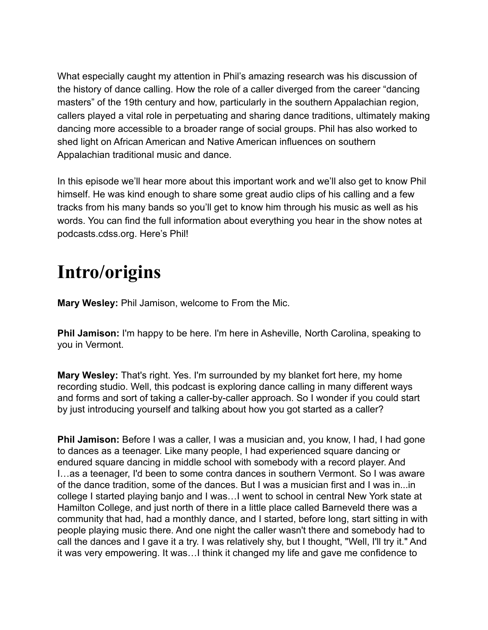What especially caught my attention in Phil's amazing research was his discussion of the history of dance calling. How the role of a caller diverged from the career "dancing masters" of the 19th century and how, particularly in the southern Appalachian region, callers played a vital role in perpetuating and sharing dance traditions, ultimately making dancing more accessible to a broader range of social groups. Phil has also worked to shed light on African American and Native American influences on southern Appalachian traditional music and dance.

In this episode we'll hear more about this important work and we'll also get to know Phil himself. He was kind enough to share some great audio clips of his calling and a few tracks from his many bands so you'll get to know him through his music as well as his words. You can find the full information about everything you hear in the show notes at podcasts.cdss.org. Here's Phil!

### **Intro/origins**

**Mary Wesley:** Phil Jamison, welcome to From the Mic.

**Phil Jamison:** I'm happy to be here. I'm here in Asheville, North Carolina, speaking to you in Vermont.

**Mary Wesley:** That's right. Yes. I'm surrounded by my blanket fort here, my home recording studio. Well, this podcast is exploring dance calling in many different ways and forms and sort of taking a caller-by-caller approach. So I wonder if you could start by just introducing yourself and talking about how you got started as a caller?

**Phil Jamison:** Before I was a caller, I was a musician and, you know, I had, I had gone to dances as a teenager. Like many people, I had experienced square dancing or endured square dancing in middle school with somebody with a record player. And I…as a teenager, I'd been to some contra dances in southern Vermont. So I was aware of the dance tradition, some of the dances. But I was a musician first and I was in...in college I started playing banjo and I was…I went to school in central New York state at Hamilton College, and just north of there in a little place called Barneveld there was a community that had, had a monthly dance, and I started, before long, start sitting in with people playing music there. And one night the caller wasn't there and somebody had to call the dances and I gave it a try. I was relatively shy, but I thought, "Well, I'll try it." And it was very empowering. It was…I think it changed my life and gave me confidence to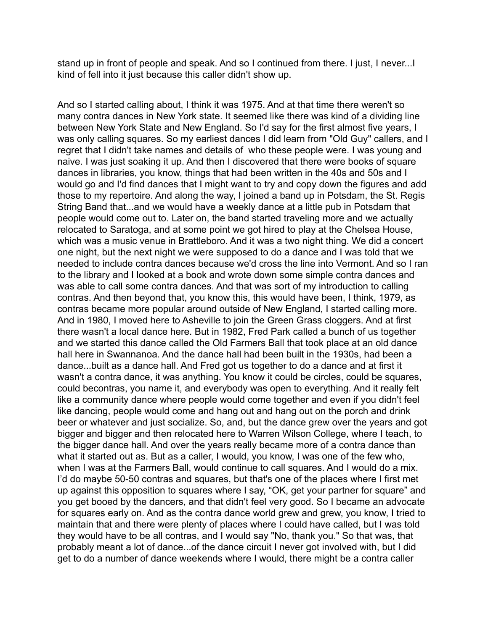stand up in front of people and speak. And so I continued from there. I just, I never...I kind of fell into it just because this caller didn't show up.

And so I started calling about, I think it was 1975. And at that time there weren't so many contra dances in New York state. It seemed like there was kind of a dividing line between New York State and New England. So I'd say for the first almost five years, I was only calling squares. So my earliest dances I did learn from "Old Guy" callers, and I regret that I didn't take names and details of who these people were. I was young and naive. I was just soaking it up. And then I discovered that there were books of square dances in libraries, you know, things that had been written in the 40s and 50s and I would go and I'd find dances that I might want to try and copy down the figures and add those to my repertoire. And along the way, I joined a band up in Potsdam, the St. Regis String Band that...and we would have a weekly dance at a little pub in Potsdam that people would come out to. Later on, the band started traveling more and we actually relocated to Saratoga, and at some point we got hired to play at the Chelsea House, which was a music venue in Brattleboro. And it was a two night thing. We did a concert one night, but the next night we were supposed to do a dance and I was told that we needed to include contra dances because we'd cross the line into Vermont. And so I ran to the library and I looked at a book and wrote down some simple contra dances and was able to call some contra dances. And that was sort of my introduction to calling contras. And then beyond that, you know this, this would have been, I think, 1979, as contras became more popular around outside of New England, I started calling more. And in 1980, I moved here to Asheville to join the Green Grass cloggers. And at first there wasn't a local dance here. But in 1982, Fred Park called a bunch of us together and we started this dance called the Old Farmers Ball that took place at an old dance hall here in Swannanoa. And the dance hall had been built in the 1930s, had been a dance...built as a dance hall. And Fred got us together to do a dance and at first it wasn't a contra dance, it was anything. You know it could be circles, could be squares, could becontras, you name it, and everybody was open to everything. And it really felt like a community dance where people would come together and even if you didn't feel like dancing, people would come and hang out and hang out on the porch and drink beer or whatever and just socialize. So, and, but the dance grew over the years and got bigger and bigger and then relocated here to Warren Wilson College, where I teach, to the bigger dance hall. And over the years really became more of a contra dance than what it started out as. But as a caller, I would, you know, I was one of the few who, when I was at the Farmers Ball, would continue to call squares. And I would do a mix. I'd do maybe 50-50 contras and squares, but that's one of the places where I first met up against this opposition to squares where I say, "OK, get your partner for square" and you get booed by the dancers, and that didn't feel very good. So I became an advocate for squares early on. And as the contra dance world grew and grew, you know, I tried to maintain that and there were plenty of places where I could have called, but I was told they would have to be all contras, and I would say "No, thank you." So that was, that probably meant a lot of dance...of the dance circuit I never got involved with, but I did get to do a number of dance weekends where I would, there might be a contra caller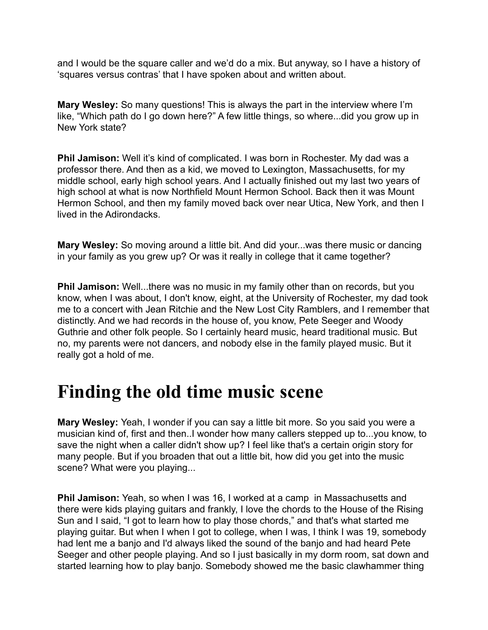and I would be the square caller and we'd do a mix. But anyway, so I have a history of 'squares versus contras' that I have spoken about and written about.

**Mary Wesley:** So many questions! This is always the part in the interview where I'm like, "Which path do I go down here?" A few little things, so where...did you grow up in New York state?

**Phil Jamison:** Well it's kind of complicated. I was born in Rochester. My dad was a professor there. And then as a kid, we moved to Lexington, Massachusetts, for my middle school, early high school years. And I actually finished out my last two years of high school at what is now Northfield Mount Hermon School. Back then it was Mount Hermon School, and then my family moved back over near Utica, New York, and then I lived in the Adirondacks.

**Mary Wesley:** So moving around a little bit. And did your...was there music or dancing in your family as you grew up? Or was it really in college that it came together?

**Phil Jamison:** Well...there was no music in my family other than on records, but you know, when I was about, I don't know, eight, at the University of Rochester, my dad took me to a concert with Jean Ritchie and the New Lost City Ramblers, and I remember that distinctly. And we had records in the house of, you know, Pete Seeger and Woody Guthrie and other folk people. So I certainly heard music, heard traditional music. But no, my parents were not dancers, and nobody else in the family played music. But it really got a hold of me.

#### **Finding the old time music scene**

**Mary Wesley:** Yeah, I wonder if you can say a little bit more. So you said you were a musician kind of, first and then..I wonder how many callers stepped up to...you know, to save the night when a caller didn't show up? I feel like that's a certain origin story for many people. But if you broaden that out a little bit, how did you get into the music scene? What were you playing...

**Phil Jamison:** Yeah, so when I was 16, I worked at a camp in Massachusetts and there were kids playing guitars and frankly, I love the chords to the House of the Rising Sun and I said, "I got to learn how to play those chords," and that's what started me playing guitar. But when I when I got to college, when I was, I think I was 19, somebody had lent me a banjo and I'd always liked the sound of the banjo and had heard Pete Seeger and other people playing. And so I just basically in my dorm room, sat down and started learning how to play banjo. Somebody showed me the basic clawhammer thing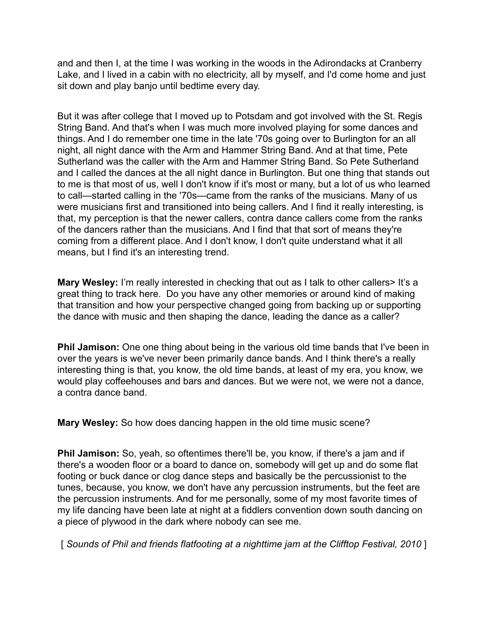and and then I, at the time I was working in the woods in the Adirondacks at Cranberry Lake, and I lived in a cabin with no electricity, all by myself, and I'd come home and just sit down and play banjo until bedtime every day.

But it was after college that I moved up to Potsdam and got involved with the St. Regis String Band. And that's when I was much more involved playing for some dances and things. And I do remember one time in the late '70s going over to Burlington for an all night, all night dance with the Arm and Hammer String Band. And at that time, Pete Sutherland was the caller with the Arm and Hammer String Band. So Pete Sutherland and I called the dances at the all night dance in Burlington. But one thing that stands out to me is that most of us, well I don't know if it's most or many, but a lot of us who learned to call—started calling in the '70s—came from the ranks of the musicians. Many of us were musicians first and transitioned into being callers. And I find it really interesting, is that, my perception is that the newer callers, contra dance callers come from the ranks of the dancers rather than the musicians. And I find that that sort of means they're coming from a different place. And I don't know, I don't quite understand what it all means, but I find it's an interesting trend.

**Mary Wesley:** I'm really interested in checking that out as I talk to other callers> It's a great thing to track here. Do you have any other memories or around kind of making that transition and how your perspective changed going from backing up or supporting the dance with music and then shaping the dance, leading the dance as a caller?

**Phil Jamison:** One one thing about being in the various old time bands that I've been in over the years is we've never been primarily dance bands. And I think there's a really interesting thing is that, you know, the old time bands, at least of my era, you know, we would play coffeehouses and bars and dances. But we were not, we were not a dance, a contra dance band.

**Mary Wesley:** So how does dancing happen in the old time music scene?

**Phil Jamison:** So, yeah, so oftentimes there'll be, you know, if there's a jam and if there's a wooden floor or a board to dance on, somebody will get up and do some flat footing or buck dance or clog dance steps and basically be the percussionist to the tunes, because, you know, we don't have any percussion instruments, but the feet are the percussion instruments. And for me personally, some of my most favorite times of my life dancing have been late at night at a fiddlers convention down south dancing on a piece of plywood in the dark where nobody can see me.

[ *Sounds of Phil and friends flatfooting at a nighttime jam at the Clifftop Festival, 2010* ]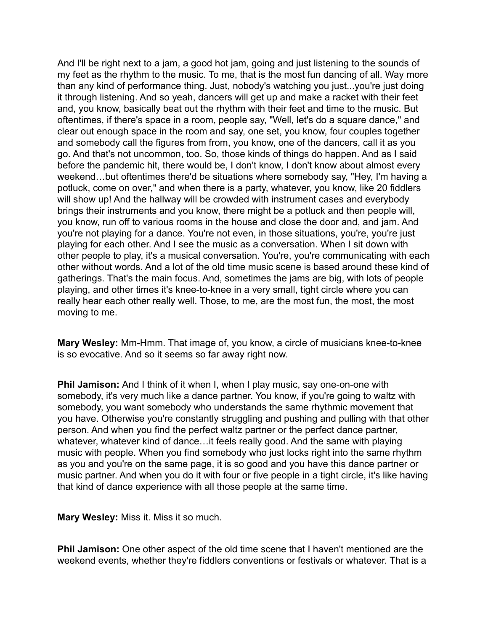And I'll be right next to a jam, a good hot jam, going and just listening to the sounds of my feet as the rhythm to the music. To me, that is the most fun dancing of all. Way more than any kind of performance thing. Just, nobody's watching you just...you're just doing it through listening. And so yeah, dancers will get up and make a racket with their feet and, you know, basically beat out the rhythm with their feet and time to the music. But oftentimes, if there's space in a room, people say, "Well, let's do a square dance," and clear out enough space in the room and say, one set, you know, four couples together and somebody call the figures from from, you know, one of the dancers, call it as you go. And that's not uncommon, too. So, those kinds of things do happen. And as I said before the pandemic hit, there would be, I don't know, I don't know about almost every weekend…but oftentimes there'd be situations where somebody say, "Hey, I'm having a potluck, come on over," and when there is a party, whatever, you know, like 20 fiddlers will show up! And the hallway will be crowded with instrument cases and everybody brings their instruments and you know, there might be a potluck and then people will, you know, run off to various rooms in the house and close the door and, and jam. And you're not playing for a dance. You're not even, in those situations, you're, you're just playing for each other. And I see the music as a conversation. When I sit down with other people to play, it's a musical conversation. You're, you're communicating with each other without words. And a lot of the old time music scene is based around these kind of gatherings. That's the main focus. And, sometimes the jams are big, with lots of people playing, and other times it's knee-to-knee in a very small, tight circle where you can really hear each other really well. Those, to me, are the most fun, the most, the most moving to me.

**Mary Wesley:** Mm-Hmm. That image of, you know, a circle of musicians knee-to-knee is so evocative. And so it seems so far away right now.

**Phil Jamison:** And I think of it when I, when I play music, say one-on-one with somebody, it's very much like a dance partner. You know, if you're going to waltz with somebody, you want somebody who understands the same rhythmic movement that you have. Otherwise you're constantly struggling and pushing and pulling with that other person. And when you find the perfect waltz partner or the perfect dance partner, whatever, whatever kind of dance…it feels really good. And the same with playing music with people. When you find somebody who just locks right into the same rhythm as you and you're on the same page, it is so good and you have this dance partner or music partner. And when you do it with four or five people in a tight circle, it's like having that kind of dance experience with all those people at the same time.

**Mary Wesley:** Miss it. Miss it so much.

**Phil Jamison:** One other aspect of the old time scene that I haven't mentioned are the weekend events, whether they're fiddlers conventions or festivals or whatever. That is a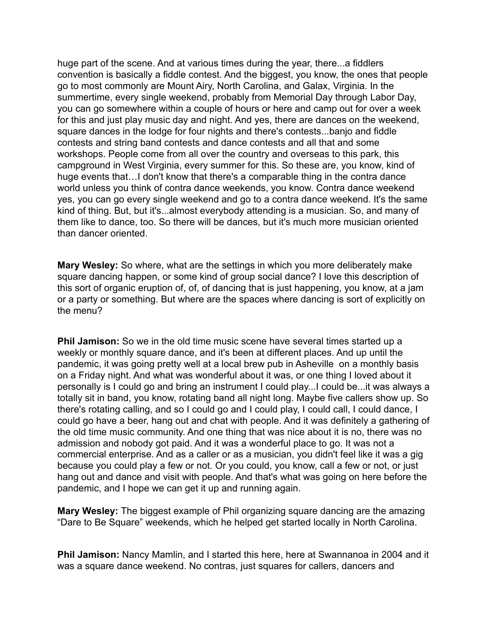huge part of the scene. And at various times during the year, there...a fiddlers convention is basically a fiddle contest. And the biggest, you know, the ones that people go to most commonly are Mount Airy, North Carolina, and Galax, Virginia. In the summertime, every single weekend, probably from Memorial Day through Labor Day, you can go somewhere within a couple of hours or here and camp out for over a week for this and just play music day and night. And yes, there are dances on the weekend, square dances in the lodge for four nights and there's contests...banjo and fiddle contests and string band contests and dance contests and all that and some workshops. People come from all over the country and overseas to this park, this campground in West Virginia, every summer for this. So these are, you know, kind of huge events that…I don't know that there's a comparable thing in the contra dance world unless you think of contra dance weekends, you know. Contra dance weekend yes, you can go every single weekend and go to a contra dance weekend. It's the same kind of thing. But, but it's...almost everybody attending is a musician. So, and many of them like to dance, too. So there will be dances, but it's much more musician oriented than dancer oriented.

**Mary Wesley:** So where, what are the settings in which you more deliberately make square dancing happen, or some kind of group social dance? I love this description of this sort of organic eruption of, of, of dancing that is just happening, you know, at a jam or a party or something. But where are the spaces where dancing is sort of explicitly on the menu?

**Phil Jamison:** So we in the old time music scene have several times started up a weekly or monthly square dance, and it's been at different places. And up until the pandemic, it was going pretty well at a local brew pub in Asheville on a monthly basis on a Friday night. And what was wonderful about it was, or one thing I loved about it personally is I could go and bring an instrument I could play...I could be...it was always a totally sit in band, you know, rotating band all night long. Maybe five callers show up. So there's rotating calling, and so I could go and I could play, I could call, I could dance, I could go have a beer, hang out and chat with people. And it was definitely a gathering of the old time music community. And one thing that was nice about it is no, there was no admission and nobody got paid. And it was a wonderful place to go. It was not a commercial enterprise. And as a caller or as a musician, you didn't feel like it was a gig because you could play a few or not. Or you could, you know, call a few or not, or just hang out and dance and visit with people. And that's what was going on here before the pandemic, and I hope we can get it up and running again.

**Mary Wesley:** The biggest example of Phil organizing square dancing are the amazing "Dare to Be Square" weekends, which he helped get started locally in North Carolina.

**Phil Jamison:** Nancy Mamlin, and I started this here, here at Swannanoa in 2004 and it was a square dance weekend. No contras, just squares for callers, dancers and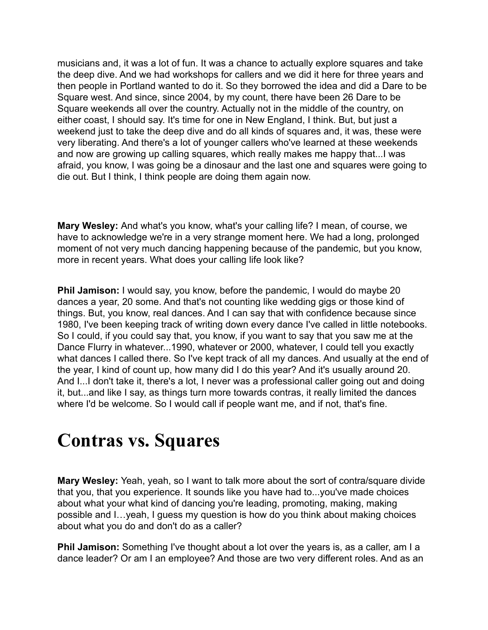musicians and, it was a lot of fun. It was a chance to actually explore squares and take the deep dive. And we had workshops for callers and we did it here for three years and then people in Portland wanted to do it. So they borrowed the idea and did a Dare to be Square west. And since, since 2004, by my count, there have been 26 Dare to be Square weekends all over the country. Actually not in the middle of the country, on either coast, I should say. It's time for one in New England, I think. But, but just a weekend just to take the deep dive and do all kinds of squares and, it was, these were very liberating. And there's a lot of younger callers who've learned at these weekends and now are growing up calling squares, which really makes me happy that...I was afraid, you know, I was going be a dinosaur and the last one and squares were going to die out. But I think, I think people are doing them again now.

**Mary Wesley:** And what's you know, what's your calling life? I mean, of course, we have to acknowledge we're in a very strange moment here. We had a long, prolonged moment of not very much dancing happening because of the pandemic, but you know, more in recent years. What does your calling life look like?

**Phil Jamison:** I would say, you know, before the pandemic, I would do maybe 20 dances a year, 20 some. And that's not counting like wedding gigs or those kind of things. But, you know, real dances. And I can say that with confidence because since 1980, I've been keeping track of writing down every dance I've called in little notebooks. So I could, if you could say that, you know, if you want to say that you saw me at the Dance Flurry in whatever...1990, whatever or 2000, whatever, I could tell you exactly what dances I called there. So I've kept track of all my dances. And usually at the end of the year, I kind of count up, how many did I do this year? And it's usually around 20. And I...I don't take it, there's a lot, I never was a professional caller going out and doing it, but...and like I say, as things turn more towards contras, it really limited the dances where I'd be welcome. So I would call if people want me, and if not, that's fine.

#### **Contras vs. Squares**

**Mary Wesley:** Yeah, yeah, so I want to talk more about the sort of contra/square divide that you, that you experience. It sounds like you have had to...you've made choices about what your what kind of dancing you're leading, promoting, making, making possible and I…yeah, I guess my question is how do you think about making choices about what you do and don't do as a caller?

**Phil Jamison:** Something I've thought about a lot over the years is, as a caller, am I a dance leader? Or am I an employee? And those are two very different roles. And as an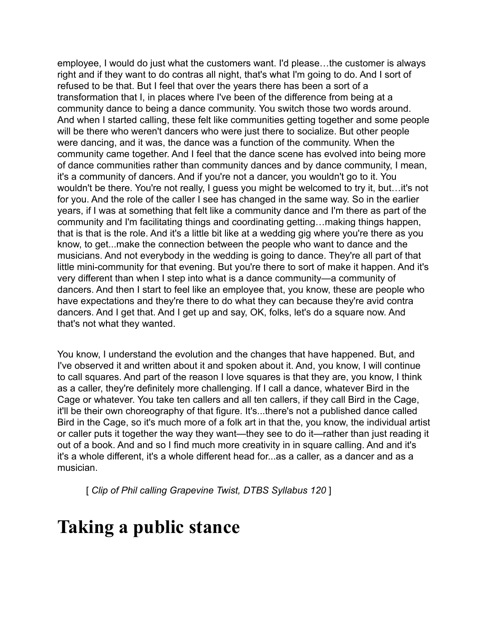employee, I would do just what the customers want. I'd please…the customer is always right and if they want to do contras all night, that's what I'm going to do. And I sort of refused to be that. But I feel that over the years there has been a sort of a transformation that I, in places where I've been of the difference from being at a community dance to being a dance community. You switch those two words around. And when I started calling, these felt like communities getting together and some people will be there who weren't dancers who were just there to socialize. But other people were dancing, and it was, the dance was a function of the community. When the community came together. And I feel that the dance scene has evolved into being more of dance communities rather than community dances and by dance community, I mean, it's a community of dancers. And if you're not a dancer, you wouldn't go to it. You wouldn't be there. You're not really, I guess you might be welcomed to try it, but…it's not for you. And the role of the caller I see has changed in the same way. So in the earlier years, if I was at something that felt like a community dance and I'm there as part of the community and I'm facilitating things and coordinating getting…making things happen, that is that is the role. And it's a little bit like at a wedding gig where you're there as you know, to get...make the connection between the people who want to dance and the musicians. And not everybody in the wedding is going to dance. They're all part of that little mini-community for that evening. But you're there to sort of make it happen. And it's very different than when I step into what is a dance community—a community of dancers. And then I start to feel like an employee that, you know, these are people who have expectations and they're there to do what they can because they're avid contra dancers. And I get that. And I get up and say, OK, folks, let's do a square now. And that's not what they wanted.

You know, I understand the evolution and the changes that have happened. But, and I've observed it and written about it and spoken about it. And, you know, I will continue to call squares. And part of the reason I love squares is that they are, you know, I think as a caller, they're definitely more challenging. If I call a dance, whatever Bird in the Cage or whatever. You take ten callers and all ten callers, if they call Bird in the Cage, it'll be their own choreography of that figure. It's...there's not a published dance called Bird in the Cage, so it's much more of a folk art in that the, you know, the individual artist or caller puts it together the way they want—they see to do it—rather than just reading it out of a book. And and so I find much more creativity in in square calling. And and it's it's a whole different, it's a whole different head for...as a caller, as a dancer and as a musician.

[ *Clip of Phil calling Grapevine Twist, DTBS Syllabus 120* ]

#### **Taking a public stance**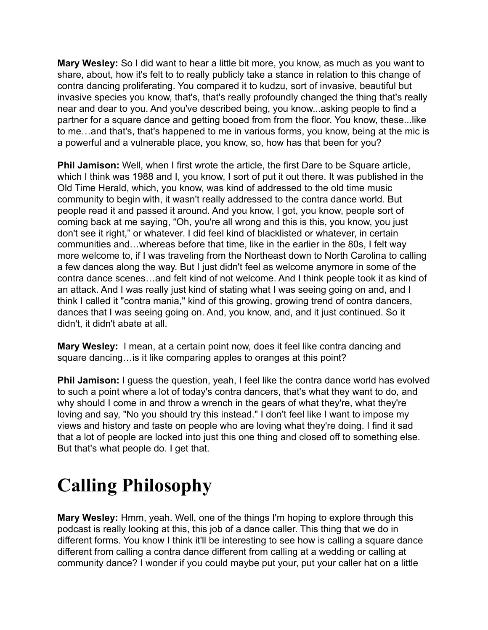**Mary Wesley:** So I did want to hear a little bit more, you know, as much as you want to share, about, how it's felt to to really publicly take a stance in relation to this change of contra dancing proliferating. You compared it to kudzu, sort of invasive, beautiful but invasive species you know, that's, that's really profoundly changed the thing that's really near and dear to you. And you've described being, you know...asking people to find a partner for a square dance and getting booed from from the floor. You know, these...like to me…and that's, that's happened to me in various forms, you know, being at the mic is a powerful and a vulnerable place, you know, so, how has that been for you?

**Phil Jamison:** Well, when I first wrote the article, the first Dare to be Square article, which I think was 1988 and I, you know, I sort of put it out there. It was published in the Old Time Herald, which, you know, was kind of addressed to the old time music community to begin with, it wasn't really addressed to the contra dance world. But people read it and passed it around. And you know, I got, you know, people sort of coming back at me saying, "Oh, you're all wrong and this is this, you know, you just don't see it right," or whatever. I did feel kind of blacklisted or whatever, in certain communities and…whereas before that time, like in the earlier in the 80s, I felt way more welcome to, if I was traveling from the Northeast down to North Carolina to calling a few dances along the way. But I just didn't feel as welcome anymore in some of the contra dance scenes…and felt kind of not welcome. And I think people took it as kind of an attack. And I was really just kind of stating what I was seeing going on and, and I think I called it "contra mania," kind of this growing, growing trend of contra dancers, dances that I was seeing going on. And, you know, and, and it just continued. So it didn't, it didn't abate at all.

**Mary Wesley:** I mean, at a certain point now, does it feel like contra dancing and square dancing…is it like comparing apples to oranges at this point?

**Phil Jamison:** I guess the question, yeah, I feel like the contra dance world has evolved to such a point where a lot of today's contra dancers, that's what they want to do, and why should I come in and throw a wrench in the gears of what they're, what they're loving and say, "No you should try this instead." I don't feel like I want to impose my views and history and taste on people who are loving what they're doing. I find it sad that a lot of people are locked into just this one thing and closed off to something else. But that's what people do. I get that.

# **Calling Philosophy**

**Mary Wesley:** Hmm, yeah. Well, one of the things I'm hoping to explore through this podcast is really looking at this, this job of a dance caller. This thing that we do in different forms. You know I think it'll be interesting to see how is calling a square dance different from calling a contra dance different from calling at a wedding or calling at community dance? I wonder if you could maybe put your, put your caller hat on a little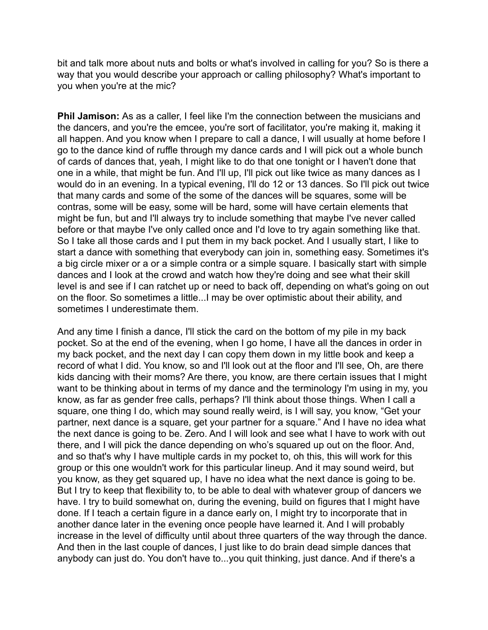bit and talk more about nuts and bolts or what's involved in calling for you? So is there a way that you would describe your approach or calling philosophy? What's important to you when you're at the mic?

**Phil Jamison:** As as a caller, I feel like I'm the connection between the musicians and the dancers, and you're the emcee, you're sort of facilitator, you're making it, making it all happen. And you know when I prepare to call a dance, I will usually at home before I go to the dance kind of ruffle through my dance cards and I will pick out a whole bunch of cards of dances that, yeah, I might like to do that one tonight or I haven't done that one in a while, that might be fun. And I'll up, I'll pick out like twice as many dances as I would do in an evening. In a typical evening, I'll do 12 or 13 dances. So I'll pick out twice that many cards and some of the some of the dances will be squares, some will be contras, some will be easy, some will be hard, some will have certain elements that might be fun, but and I'll always try to include something that maybe I've never called before or that maybe I've only called once and I'd love to try again something like that. So I take all those cards and I put them in my back pocket. And I usually start, I like to start a dance with something that everybody can join in, something easy. Sometimes it's a big circle mixer or a or a simple contra or a simple square. I basically start with simple dances and I look at the crowd and watch how they're doing and see what their skill level is and see if I can ratchet up or need to back off, depending on what's going on out on the floor. So sometimes a little...I may be over optimistic about their ability, and sometimes I underestimate them.

And any time I finish a dance, I'll stick the card on the bottom of my pile in my back pocket. So at the end of the evening, when I go home, I have all the dances in order in my back pocket, and the next day I can copy them down in my little book and keep a record of what I did. You know, so and I'll look out at the floor and I'll see, Oh, are there kids dancing with their moms? Are there, you know, are there certain issues that I might want to be thinking about in terms of my dance and the terminology I'm using in my, you know, as far as gender free calls, perhaps? I'll think about those things. When I call a square, one thing I do, which may sound really weird, is I will say, you know, "Get your partner, next dance is a square, get your partner for a square." And I have no idea what the next dance is going to be. Zero. And I will look and see what I have to work with out there, and I will pick the dance depending on who's squared up out on the floor. And, and so that's why I have multiple cards in my pocket to, oh this, this will work for this group or this one wouldn't work for this particular lineup. And it may sound weird, but you know, as they get squared up, I have no idea what the next dance is going to be. But I try to keep that flexibility to, to be able to deal with whatever group of dancers we have. I try to build somewhat on, during the evening, build on figures that I might have done. If I teach a certain figure in a dance early on, I might try to incorporate that in another dance later in the evening once people have learned it. And I will probably increase in the level of difficulty until about three quarters of the way through the dance. And then in the last couple of dances, I just like to do brain dead simple dances that anybody can just do. You don't have to...you quit thinking, just dance. And if there's a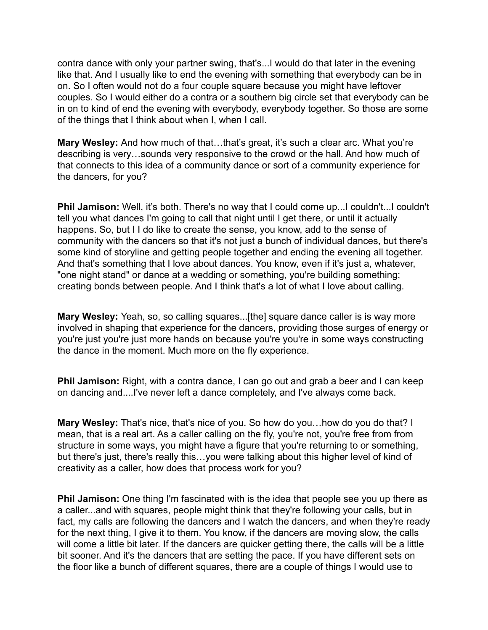contra dance with only your partner swing, that's...I would do that later in the evening like that. And I usually like to end the evening with something that everybody can be in on. So I often would not do a four couple square because you might have leftover couples. So I would either do a contra or a southern big circle set that everybody can be in on to kind of end the evening with everybody, everybody together. So those are some of the things that I think about when I, when I call.

**Mary Wesley:** And how much of that…that's great, it's such a clear arc. What you're describing is very…sounds very responsive to the crowd or the hall. And how much of that connects to this idea of a community dance or sort of a community experience for the dancers, for you?

**Phil Jamison:** Well, it's both. There's no way that I could come up...I couldn't...I couldn't tell you what dances I'm going to call that night until I get there, or until it actually happens. So, but I I do like to create the sense, you know, add to the sense of community with the dancers so that it's not just a bunch of individual dances, but there's some kind of storyline and getting people together and ending the evening all together. And that's something that I love about dances. You know, even if it's just a, whatever, "one night stand" or dance at a wedding or something, you're building something; creating bonds between people. And I think that's a lot of what I love about calling.

**Mary Wesley:** Yeah, so, so calling squares...[the] square dance caller is is way more involved in shaping that experience for the dancers, providing those surges of energy or you're just you're just more hands on because you're you're in some ways constructing the dance in the moment. Much more on the fly experience.

**Phil Jamison:** Right, with a contra dance, I can go out and grab a beer and I can keep on dancing and....I've never left a dance completely, and I've always come back.

**Mary Wesley:** That's nice, that's nice of you. So how do you…how do you do that? I mean, that is a real art. As a caller calling on the fly, you're not, you're free from from structure in some ways, you might have a figure that you're returning to or something, but there's just, there's really this…you were talking about this higher level of kind of creativity as a caller, how does that process work for you?

**Phil Jamison:** One thing I'm fascinated with is the idea that people see you up there as a caller...and with squares, people might think that they're following your calls, but in fact, my calls are following the dancers and I watch the dancers, and when they're ready for the next thing, I give it to them. You know, if the dancers are moving slow, the calls will come a little bit later. If the dancers are quicker getting there, the calls will be a little bit sooner. And it's the dancers that are setting the pace. If you have different sets on the floor like a bunch of different squares, there are a couple of things I would use to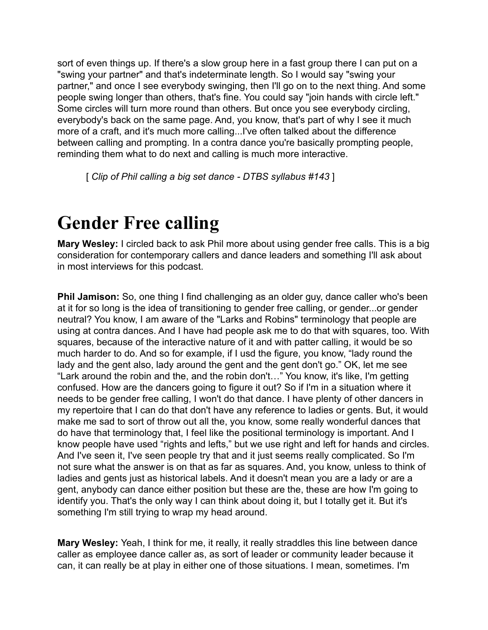sort of even things up. If there's a slow group here in a fast group there I can put on a "swing your partner" and that's indeterminate length. So I would say "swing your partner," and once I see everybody swinging, then I'll go on to the next thing. And some people swing longer than others, that's fine. You could say "join hands with circle left." Some circles will turn more round than others. But once you see everybody circling, everybody's back on the same page. And, you know, that's part of why I see it much more of a craft, and it's much more calling...I've often talked about the difference between calling and prompting. In a contra dance you're basically prompting people, reminding them what to do next and calling is much more interactive.

[ *Clip of Phil calling a big set dance - DTBS syllabus #143* ]

# **Gender Free calling**

**Mary Wesley:** I circled back to ask Phil more about using gender free calls. This is a big consideration for contemporary callers and dance leaders and something I'll ask about in most interviews for this podcast.

**Phil Jamison:** So, one thing I find challenging as an older guy, dance caller who's been at it for so long is the idea of transitioning to gender free calling, or gender...or gender neutral? You know, I am aware of the "Larks and Robins" terminology that people are using at contra dances. And I have had people ask me to do that with squares, too. With squares, because of the interactive nature of it and with patter calling, it would be so much harder to do. And so for example, if I usd the figure, you know, "lady round the lady and the gent also, lady around the gent and the gent don't go." OK, let me see "Lark around the robin and the, and the robin don't…" You know, it's like, I'm getting confused. How are the dancers going to figure it out? So if I'm in a situation where it needs to be gender free calling, I won't do that dance. I have plenty of other dancers in my repertoire that I can do that don't have any reference to ladies or gents. But, it would make me sad to sort of throw out all the, you know, some really wonderful dances that do have that terminology that, I feel like the positional terminology is important. And I know people have used "rights and lefts," but we use right and left for hands and circles. And I've seen it, I've seen people try that and it just seems really complicated. So I'm not sure what the answer is on that as far as squares. And, you know, unless to think of ladies and gents just as historical labels. And it doesn't mean you are a lady or are a gent, anybody can dance either position but these are the, these are how I'm going to identify you. That's the only way I can think about doing it, but I totally get it. But it's something I'm still trying to wrap my head around.

**Mary Wesley:** Yeah, I think for me, it really, it really straddles this line between dance caller as employee dance caller as, as sort of leader or community leader because it can, it can really be at play in either one of those situations. I mean, sometimes. I'm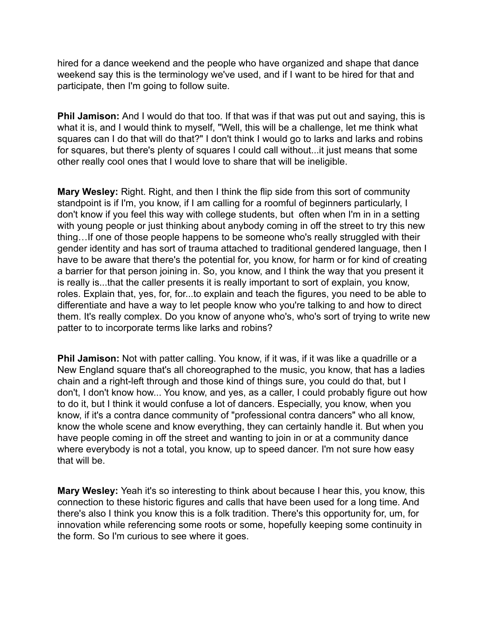hired for a dance weekend and the people who have organized and shape that dance weekend say this is the terminology we've used, and if I want to be hired for that and participate, then I'm going to follow suite.

**Phil Jamison:** And I would do that too. If that was if that was put out and saying, this is what it is, and I would think to myself, "Well, this will be a challenge, let me think what squares can I do that will do that?" I don't think I would go to larks and larks and robins for squares, but there's plenty of squares I could call without...it just means that some other really cool ones that I would love to share that will be ineligible.

**Mary Wesley:** Right. Right, and then I think the flip side from this sort of community standpoint is if I'm, you know, if I am calling for a roomful of beginners particularly, I don't know if you feel this way with college students, but often when I'm in in a setting with young people or just thinking about anybody coming in off the street to try this new thing…If one of those people happens to be someone who's really struggled with their gender identity and has sort of trauma attached to traditional gendered language, then I have to be aware that there's the potential for, you know, for harm or for kind of creating a barrier for that person joining in. So, you know, and I think the way that you present it is really is...that the caller presents it is really important to sort of explain, you know, roles. Explain that, yes, for, for...to explain and teach the figures, you need to be able to differentiate and have a way to let people know who you're talking to and how to direct them. It's really complex. Do you know of anyone who's, who's sort of trying to write new patter to to incorporate terms like larks and robins?

**Phil Jamison:** Not with patter calling. You know, if it was, if it was like a quadrille or a New England square that's all choreographed to the music, you know, that has a ladies chain and a right-left through and those kind of things sure, you could do that, but I don't, I don't know how... You know, and yes, as a caller, I could probably figure out how to do it, but I think it would confuse a lot of dancers. Especially, you know, when you know, if it's a contra dance community of "professional contra dancers" who all know, know the whole scene and know everything, they can certainly handle it. But when you have people coming in off the street and wanting to join in or at a community dance where everybody is not a total, you know, up to speed dancer. I'm not sure how easy that will be.

**Mary Wesley:** Yeah it's so interesting to think about because I hear this, you know, this connection to these historic figures and calls that have been used for a long time. And there's also I think you know this is a folk tradition. There's this opportunity for, um, for innovation while referencing some roots or some, hopefully keeping some continuity in the form. So I'm curious to see where it goes.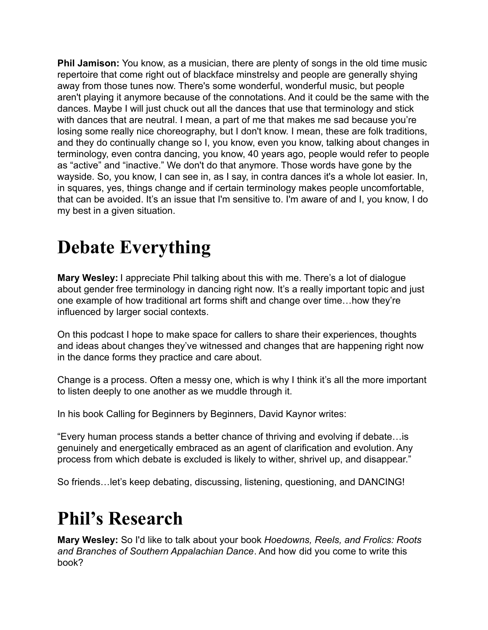**Phil Jamison:** You know, as a musician, there are plenty of songs in the old time music repertoire that come right out of blackface minstrelsy and people are generally shying away from those tunes now. There's some wonderful, wonderful music, but people aren't playing it anymore because of the connotations. And it could be the same with the dances. Maybe I will just chuck out all the dances that use that terminology and stick with dances that are neutral. I mean, a part of me that makes me sad because you're losing some really nice choreography, but I don't know. I mean, these are folk traditions, and they do continually change so I, you know, even you know, talking about changes in terminology, even contra dancing, you know, 40 years ago, people would refer to people as "active" and "inactive." We don't do that anymore. Those words have gone by the wayside. So, you know, I can see in, as I say, in contra dances it's a whole lot easier. In, in squares, yes, things change and if certain terminology makes people uncomfortable, that can be avoided. It's an issue that I'm sensitive to. I'm aware of and I, you know, I do my best in a given situation.

## **Debate Everything**

**Mary Wesley:** I appreciate Phil talking about this with me. There's a lot of dialogue about gender free terminology in dancing right now. It's a really important topic and just one example of how traditional art forms shift and change over time…how they're influenced by larger social contexts.

On this podcast I hope to make space for callers to share their experiences, thoughts and ideas about changes they've witnessed and changes that are happening right now in the dance forms they practice and care about.

Change is a process. Often a messy one, which is why I think it's all the more important to listen deeply to one another as we muddle through it.

In his book Calling for Beginners by Beginners, David Kaynor writes:

"Every human process stands a better chance of thriving and evolving if debate…is genuinely and energetically embraced as an agent of clarification and evolution. Any process from which debate is excluded is likely to wither, shrivel up, and disappear."

So friends…let's keep debating, discussing, listening, questioning, and DANCING!

### **Phil's Research**

**Mary Wesley:** So I'd like to talk about your book *Hoedowns, Reels, and Frolics: Roots and Branches of Southern Appalachian Dance*. And how did you come to write this book?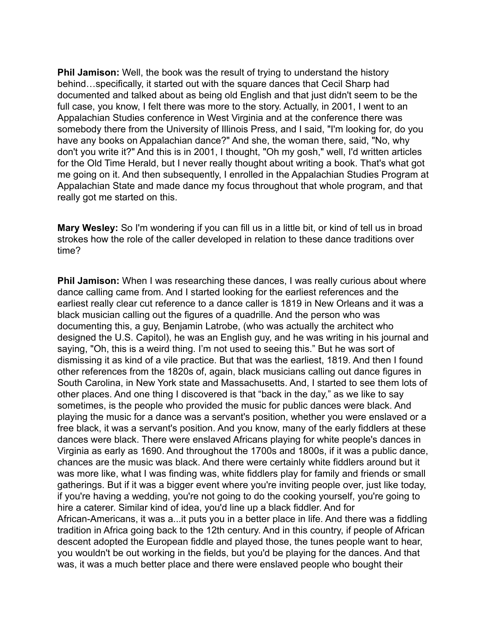**Phil Jamison:** Well, the book was the result of trying to understand the history behind…specifically, it started out with the square dances that Cecil Sharp had documented and talked about as being old English and that just didn't seem to be the full case, you know, I felt there was more to the story. Actually, in 2001, I went to an Appalachian Studies conference in West Virginia and at the conference there was somebody there from the University of Illinois Press, and I said, "I'm looking for, do you have any books on Appalachian dance?" And she, the woman there, said, "No, why don't you write it?" And this is in 2001, I thought, "Oh my gosh," well, I'd written articles for the Old Time Herald, but I never really thought about writing a book. That's what got me going on it. And then subsequently, I enrolled in the Appalachian Studies Program at Appalachian State and made dance my focus throughout that whole program, and that really got me started on this.

**Mary Wesley:** So I'm wondering if you can fill us in a little bit, or kind of tell us in broad strokes how the role of the caller developed in relation to these dance traditions over time?

**Phil Jamison:** When I was researching these dances, I was really curious about where dance calling came from. And I started looking for the earliest references and the earliest really clear cut reference to a dance caller is 1819 in New Orleans and it was a black musician calling out the figures of a quadrille. And the person who was documenting this, a guy, Benjamin Latrobe, (who was actually the architect who designed the U.S. Capitol), he was an English guy, and he was writing in his journal and saying, "Oh, this is a weird thing. I'm not used to seeing this." But he was sort of dismissing it as kind of a vile practice. But that was the earliest, 1819. And then I found other references from the 1820s of, again, black musicians calling out dance figures in South Carolina, in New York state and Massachusetts. And, I started to see them lots of other places. And one thing I discovered is that "back in the day," as we like to say sometimes, is the people who provided the music for public dances were black. And playing the music for a dance was a servant's position, whether you were enslaved or a free black, it was a servant's position. And you know, many of the early fiddlers at these dances were black. There were enslaved Africans playing for white people's dances in Virginia as early as 1690. And throughout the 1700s and 1800s, if it was a public dance, chances are the music was black. And there were certainly white fiddlers around but it was more like, what I was finding was, white fiddlers play for family and friends or small gatherings. But if it was a bigger event where you're inviting people over, just like today, if you're having a wedding, you're not going to do the cooking yourself, you're going to hire a caterer. Similar kind of idea, you'd line up a black fiddler. And for African-Americans, it was a...it puts you in a better place in life. And there was a fiddling tradition in Africa going back to the 12th century. And in this country, if people of African descent adopted the European fiddle and played those, the tunes people want to hear, you wouldn't be out working in the fields, but you'd be playing for the dances. And that was, it was a much better place and there were enslaved people who bought their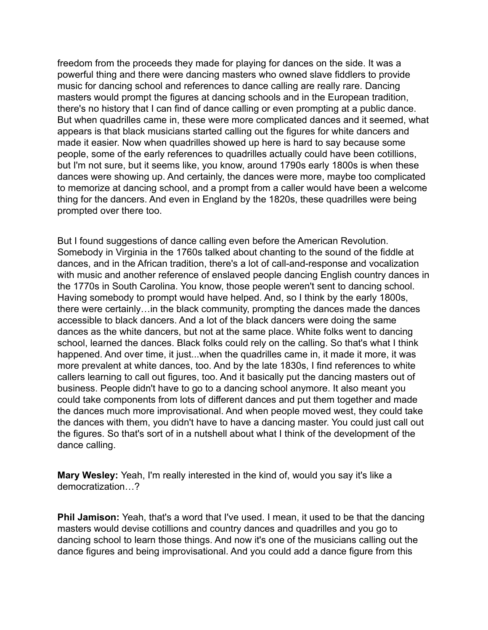freedom from the proceeds they made for playing for dances on the side. It was a powerful thing and there were dancing masters who owned slave fiddlers to provide music for dancing school and references to dance calling are really rare. Dancing masters would prompt the figures at dancing schools and in the European tradition, there's no history that I can find of dance calling or even prompting at a public dance. But when quadrilles came in, these were more complicated dances and it seemed, what appears is that black musicians started calling out the figures for white dancers and made it easier. Now when quadrilles showed up here is hard to say because some people, some of the early references to quadrilles actually could have been cotillions, but I'm not sure, but it seems like, you know, around 1790s early 1800s is when these dances were showing up. And certainly, the dances were more, maybe too complicated to memorize at dancing school, and a prompt from a caller would have been a welcome thing for the dancers. And even in England by the 1820s, these quadrilles were being prompted over there too.

But I found suggestions of dance calling even before the American Revolution. Somebody in Virginia in the 1760s talked about chanting to the sound of the fiddle at dances, and in the African tradition, there's a lot of call-and-response and vocalization with music and another reference of enslaved people dancing English country dances in the 1770s in South Carolina. You know, those people weren't sent to dancing school. Having somebody to prompt would have helped. And, so I think by the early 1800s, there were certainly…in the black community, prompting the dances made the dances accessible to black dancers. And a lot of the black dancers were doing the same dances as the white dancers, but not at the same place. White folks went to dancing school, learned the dances. Black folks could rely on the calling. So that's what I think happened. And over time, it just...when the quadrilles came in, it made it more, it was more prevalent at white dances, too. And by the late 1830s, I find references to white callers learning to call out figures, too. And it basically put the dancing masters out of business. People didn't have to go to a dancing school anymore. It also meant you could take components from lots of different dances and put them together and made the dances much more improvisational. And when people moved west, they could take the dances with them, you didn't have to have a dancing master. You could just call out the figures. So that's sort of in a nutshell about what I think of the development of the dance calling.

**Mary Wesley:** Yeah, I'm really interested in the kind of, would you say it's like a democratization…?

**Phil Jamison:** Yeah, that's a word that I've used. I mean, it used to be that the dancing masters would devise cotillions and country dances and quadrilles and you go to dancing school to learn those things. And now it's one of the musicians calling out the dance figures and being improvisational. And you could add a dance figure from this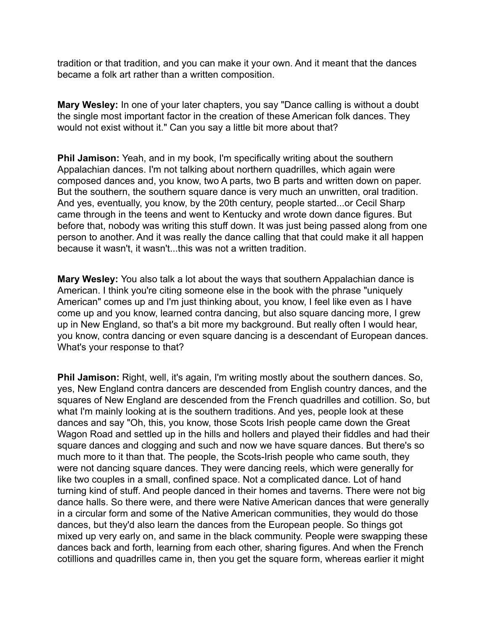tradition or that tradition, and you can make it your own. And it meant that the dances became a folk art rather than a written composition.

**Mary Wesley:** In one of your later chapters, you say "Dance calling is without a doubt the single most important factor in the creation of these American folk dances. They would not exist without it." Can you say a little bit more about that?

**Phil Jamison:** Yeah, and in my book, I'm specifically writing about the southern Appalachian dances. I'm not talking about northern quadrilles, which again were composed dances and, you know, two A parts, two B parts and written down on paper. But the southern, the southern square dance is very much an unwritten, oral tradition. And yes, eventually, you know, by the 20th century, people started...or Cecil Sharp came through in the teens and went to Kentucky and wrote down dance figures. But before that, nobody was writing this stuff down. It was just being passed along from one person to another. And it was really the dance calling that that could make it all happen because it wasn't, it wasn't...this was not a written tradition.

**Mary Wesley:** You also talk a lot about the ways that southern Appalachian dance is American. I think you're citing someone else in the book with the phrase "uniquely American" comes up and I'm just thinking about, you know, I feel like even as I have come up and you know, learned contra dancing, but also square dancing more, I grew up in New England, so that's a bit more my background. But really often I would hear, you know, contra dancing or even square dancing is a descendant of European dances. What's your response to that?

**Phil Jamison:** Right, well, it's again, I'm writing mostly about the southern dances. So, yes, New England contra dancers are descended from English country dances, and the squares of New England are descended from the French quadrilles and cotillion. So, but what I'm mainly looking at is the southern traditions. And yes, people look at these dances and say "Oh, this, you know, those Scots Irish people came down the Great Wagon Road and settled up in the hills and hollers and played their fiddles and had their square dances and clogging and such and now we have square dances. But there's so much more to it than that. The people, the Scots-Irish people who came south, they were not dancing square dances. They were dancing reels, which were generally for like two couples in a small, confined space. Not a complicated dance. Lot of hand turning kind of stuff. And people danced in their homes and taverns. There were not big dance halls. So there were, and there were Native American dances that were generally in a circular form and some of the Native American communities, they would do those dances, but they'd also learn the dances from the European people. So things got mixed up very early on, and same in the black community. People were swapping these dances back and forth, learning from each other, sharing figures. And when the French cotillions and quadrilles came in, then you get the square form, whereas earlier it might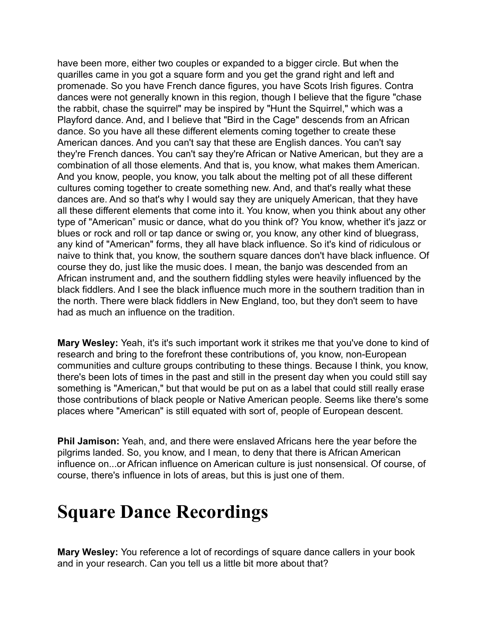have been more, either two couples or expanded to a bigger circle. But when the quarilles came in you got a square form and you get the grand right and left and promenade. So you have French dance figures, you have Scots Irish figures. Contra dances were not generally known in this region, though I believe that the figure "chase the rabbit, chase the squirrel" may be inspired by "Hunt the Squirrel," which was a Playford dance. And, and I believe that "Bird in the Cage" descends from an African dance. So you have all these different elements coming together to create these American dances. And you can't say that these are English dances. You can't say they're French dances. You can't say they're African or Native American, but they are a combination of all those elements. And that is, you know, what makes them American. And you know, people, you know, you talk about the melting pot of all these different cultures coming together to create something new. And, and that's really what these dances are. And so that's why I would say they are uniquely American, that they have all these different elements that come into it. You know, when you think about any other type of "American" music or dance, what do you think of? You know, whether it's jazz or blues or rock and roll or tap dance or swing or, you know, any other kind of bluegrass, any kind of "American" forms, they all have black influence. So it's kind of ridiculous or naive to think that, you know, the southern square dances don't have black influence. Of course they do, just like the music does. I mean, the banjo was descended from an African instrument and, and the southern fiddling styles were heavily influenced by the black fiddlers. And I see the black influence much more in the southern tradition than in the north. There were black fiddlers in New England, too, but they don't seem to have had as much an influence on the tradition.

**Mary Wesley:** Yeah, it's it's such important work it strikes me that you've done to kind of research and bring to the forefront these contributions of, you know, non-European communities and culture groups contributing to these things. Because I think, you know, there's been lots of times in the past and still in the present day when you could still say something is "American," but that would be put on as a label that could still really erase those contributions of black people or Native American people. Seems like there's some places where "American" is still equated with sort of, people of European descent.

**Phil Jamison:** Yeah, and, and there were enslaved Africans here the year before the pilgrims landed. So, you know, and I mean, to deny that there is African American influence on...or African influence on American culture is just nonsensical. Of course, of course, there's influence in lots of areas, but this is just one of them.

#### **Square Dance Recordings**

**Mary Wesley:** You reference a lot of recordings of square dance callers in your book and in your research. Can you tell us a little bit more about that?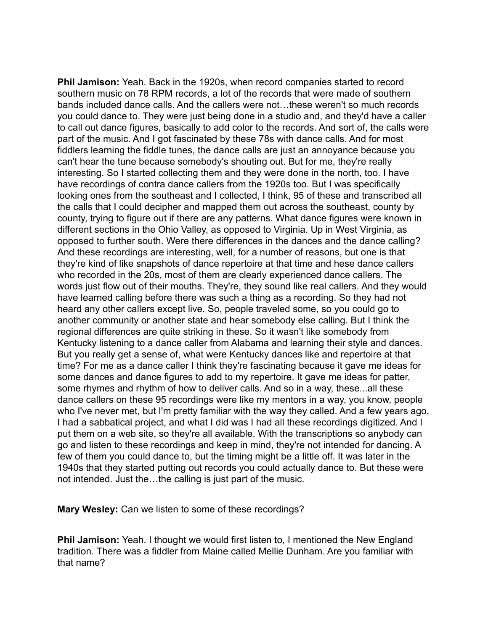**Phil Jamison:** Yeah. Back in the 1920s, when record companies started to record southern music on 78 RPM records, a lot of the records that were made of southern bands included dance calls. And the callers were not…these weren't so much records you could dance to. They were just being done in a studio and, and they'd have a caller to call out dance figures, basically to add color to the records. And sort of, the calls were part of the music. And I got fascinated by these 78s with dance calls. And for most fiddlers learning the fiddle tunes, the dance calls are just an annoyance because you can't hear the tune because somebody's shouting out. But for me, they're really interesting. So I started collecting them and they were done in the north, too. I have have recordings of contra dance callers from the 1920s too. But I was specifically looking ones from the southeast and I collected, I think, 95 of these and transcribed all the calls that I could decipher and mapped them out across the southeast, county by county, trying to figure out if there are any patterns. What dance figures were known in different sections in the Ohio Valley, as opposed to Virginia. Up in West Virginia, as opposed to further south. Were there differences in the dances and the dance calling? And these recordings are interesting, well, for a number of reasons, but one is that they're kind of like snapshots of dance repertoire at that time and hese dance callers who recorded in the 20s, most of them are clearly experienced dance callers. The words just flow out of their mouths. They're, they sound like real callers. And they would have learned calling before there was such a thing as a recording. So they had not heard any other callers except live. So, people traveled some, so you could go to another community or another state and hear somebody else calling. But I think the regional differences are quite striking in these. So it wasn't like somebody from Kentucky listening to a dance caller from Alabama and learning their style and dances. But you really get a sense of, what were Kentucky dances like and repertoire at that time? For me as a dance caller I think they're fascinating because it gave me ideas for some dances and dance figures to add to my repertoire. It gave me ideas for patter, some rhymes and rhythm of how to deliver calls. And so in a way, these...all these dance callers on these 95 recordings were like my mentors in a way, you know, people who I've never met, but I'm pretty familiar with the way they called. And a few years ago, I had a sabbatical project, and what I did was I had all these recordings digitized. And I put them on a web site, so they're all available. With the transcriptions so anybody can go and listen to these recordings and keep in mind, they're not intended for dancing. A few of them you could dance to, but the timing might be a little off. It was later in the 1940s that they started putting out records you could actually dance to. But these were not intended. Just the…the calling is just part of the music.

**Mary Wesley:** Can we listen to some of these recordings?

**Phil Jamison:** Yeah. I thought we would first listen to, I mentioned the New England tradition. There was a fiddler from Maine called Mellie Dunham. Are you familiar with that name?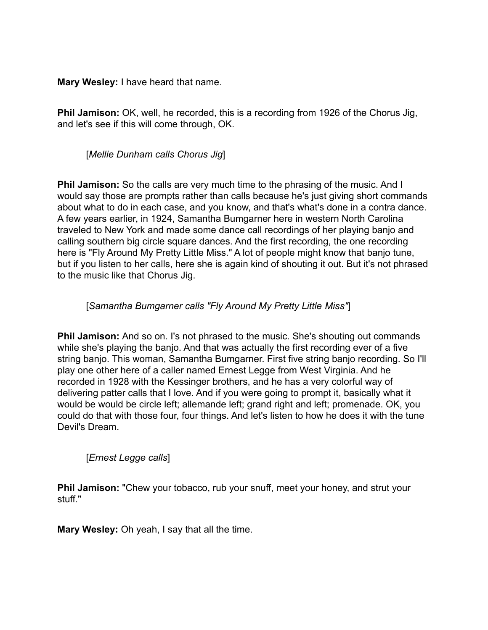**Mary Wesley:** I have heard that name.

**Phil Jamison:** OK, well, he recorded, this is a recording from 1926 of the Chorus Jig, and let's see if this will come through, OK.

[*Mellie Dunham calls Chorus Jig*]

**Phil Jamison:** So the calls are very much time to the phrasing of the music. And I would say those are prompts rather than calls because he's just giving short commands about what to do in each case, and you know, and that's what's done in a contra dance. A few years earlier, in 1924, Samantha Bumgarner here in western North Carolina traveled to New York and made some dance call recordings of her playing banjo and calling southern big circle square dances. And the first recording, the one recording here is "Fly Around My Pretty Little Miss." A lot of people might know that banjo tune, but if you listen to her calls, here she is again kind of shouting it out. But it's not phrased to the music like that Chorus Jig.

#### [*Samantha Bumgarner calls "Fly Around My Pretty Little Miss"*]

**Phil Jamison:** And so on. I's not phrased to the music. She's shouting out commands while she's playing the banjo. And that was actually the first recording ever of a five string banjo. This woman, Samantha Bumgarner. First five string banjo recording. So I'll play one other here of a caller named Ernest Legge from West Virginia. And he recorded in 1928 with the Kessinger brothers, and he has a very colorful way of delivering patter calls that I love. And if you were going to prompt it, basically what it would be would be circle left; allemande left; grand right and left; promenade. OK, you could do that with those four, four things. And let's listen to how he does it with the tune Devil's Dream.

#### [*Ernest Legge calls*]

**Phil Jamison:** "Chew your tobacco, rub your snuff, meet your honey, and strut your stuff."

**Mary Wesley:** Oh yeah, I say that all the time.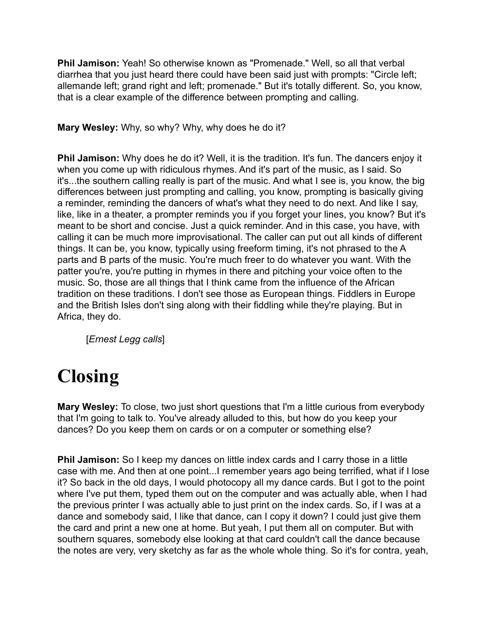**Phil Jamison:** Yeah! So otherwise known as "Promenade." Well, so all that verbal diarrhea that you just heard there could have been said just with prompts: "Circle left; allemande left; grand right and left; promenade." But it's totally different. So, you know, that is a clear example of the difference between prompting and calling.

**Mary Wesley:** Why, so why? Why, why does he do it?

**Phil Jamison:** Why does he do it? Well, it is the tradition. It's fun. The dancers enjoy it when you come up with ridiculous rhymes. And it's part of the music, as I said. So it's...the southern calling really is part of the music. And what I see is, you know, the big differences between just prompting and calling, you know, prompting is basically giving a reminder, reminding the dancers of what's what they need to do next. And like I say, like, like in a theater, a prompter reminds you if you forget your lines, you know? But it's meant to be short and concise. Just a quick reminder. And in this case, you have, with calling it can be much more improvisational. The caller can put out all kinds of different things. It can be, you know, typically using freeform timing, it's not phrased to the A parts and B parts of the music. You're much freer to do whatever you want. With the patter you're, you're putting in rhymes in there and pitching your voice often to the music. So, those are all things that I think came from the influence of the African tradition on these traditions. I don't see those as European things. Fiddlers in Europe and the British Isles don't sing along with their fiddling while they're playing. But in Africa, they do.

[*Ernest Legg calls*]

# **Closing**

**Mary Wesley:** To close, two just short questions that I'm a little curious from everybody that I'm going to talk to. You've already alluded to this, but how do you keep your dances? Do you keep them on cards or on a computer or something else?

**Phil Jamison:** So I keep my dances on little index cards and I carry those in a little case with me. And then at one point...I remember years ago being terrified, what if I lose it? So back in the old days, I would photocopy all my dance cards. But I got to the point where I've put them, typed them out on the computer and was actually able, when I had the previous printer I was actually able to just print on the index cards. So, if I was at a dance and somebody said, I like that dance, can I copy it down? I could just give them the card and print a new one at home. But yeah, I put them all on computer. But with southern squares, somebody else looking at that card couldn't call the dance because the notes are very, very sketchy as far as the whole whole thing. So it's for contra, yeah,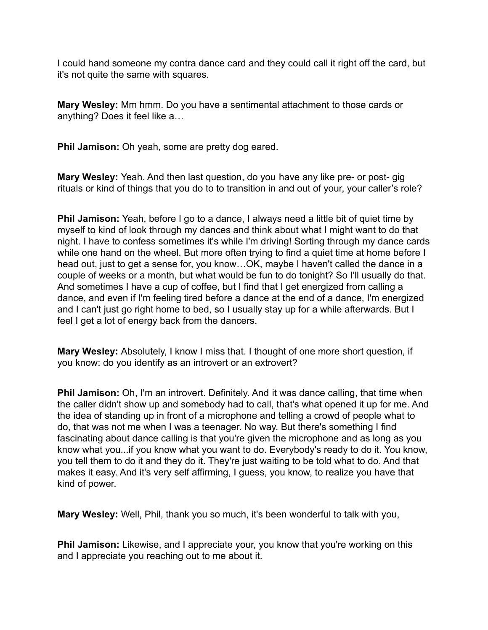I could hand someone my contra dance card and they could call it right off the card, but it's not quite the same with squares.

**Mary Wesley:** Mm hmm. Do you have a sentimental attachment to those cards or anything? Does it feel like a…

**Phil Jamison:** Oh yeah, some are pretty dog eared.

**Mary Wesley:** Yeah. And then last question, do you have any like pre- or post- gig rituals or kind of things that you do to to transition in and out of your, your caller's role?

**Phil Jamison:** Yeah, before I go to a dance, I always need a little bit of quiet time by myself to kind of look through my dances and think about what I might want to do that night. I have to confess sometimes it's while I'm driving! Sorting through my dance cards while one hand on the wheel. But more often trying to find a quiet time at home before I head out, just to get a sense for, you know... OK, maybe I haven't called the dance in a couple of weeks or a month, but what would be fun to do tonight? So I'll usually do that. And sometimes I have a cup of coffee, but I find that I get energized from calling a dance, and even if I'm feeling tired before a dance at the end of a dance, I'm energized and I can't just go right home to bed, so I usually stay up for a while afterwards. But I feel I get a lot of energy back from the dancers.

**Mary Wesley:** Absolutely, I know I miss that. I thought of one more short question, if you know: do you identify as an introvert or an extrovert?

**Phil Jamison:** Oh, I'm an introvert. Definitely. And it was dance calling, that time when the caller didn't show up and somebody had to call, that's what opened it up for me. And the idea of standing up in front of a microphone and telling a crowd of people what to do, that was not me when I was a teenager. No way. But there's something I find fascinating about dance calling is that you're given the microphone and as long as you know what you...if you know what you want to do. Everybody's ready to do it. You know, you tell them to do it and they do it. They're just waiting to be told what to do. And that makes it easy. And it's very self affirming, I guess, you know, to realize you have that kind of power.

**Mary Wesley:** Well, Phil, thank you so much, it's been wonderful to talk with you,

**Phil Jamison:** Likewise, and I appreciate your, you know that you're working on this and I appreciate you reaching out to me about it.